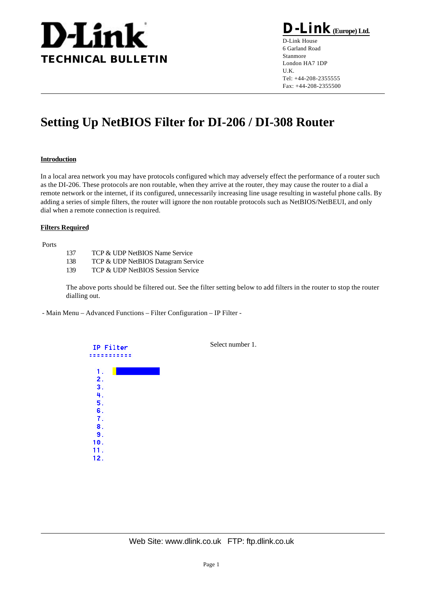

**D-Link(Europe) Ltd.**

D-Link House 6 Garland Road Stanmore London HA7 1DP U.K. Tel: +44-208-2355555 Fax: +44-208-2355500

# **Setting Up NetBIOS Filter for DI-206 / DI-308 Router**

### **Introduction**

In a local area network you may have protocols configured which may adversely effect the performance of a router such as the DI-206. These protocols are non routable, when they arrive at the router, they may cause the router to a dial a remote network or the internet, if its configured, unnecessarily increasing line usage resulting in wasteful phone calls. By adding a series of simple filters, the router will ignore the non routable protocols such as NetBIOS/NetBEUI, and only dial when a remote connection is required.

#### **Filters Required**

Ports

- 137 TCP & UDP NetBIOS Name Service
- 138 TCP & UDP NetBIOS Datagram Service
- 139 TCP & UDP NetBIOS Session Service

The above ports should be filtered out. See the filter setting below to add filters in the router to stop the router dialling out.

- Main Menu – Advanced Functions – Filter Configuration – IP Filter -

| IP Filter<br>-- | Select number 1. |
|-----------------|------------------|
| 1.              |                  |
| 2.              |                  |
| 3.              |                  |
| 4.              |                  |
| 5.              |                  |
| 6.              |                  |
| 7.              |                  |
| 8.              |                  |
| 9.              |                  |
| 10.             |                  |
| 11.             |                  |
| 12.             |                  |
|                 |                  |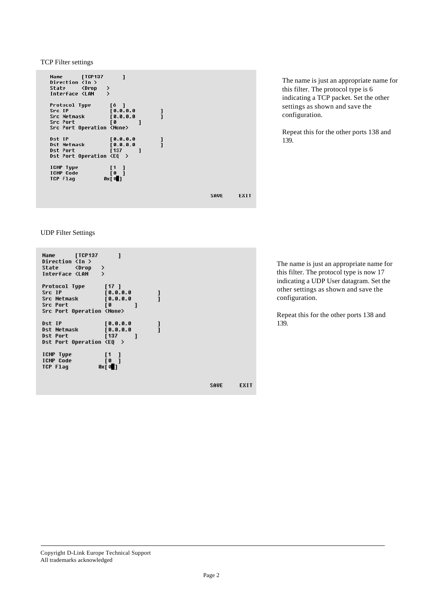TCP Filter settings



UDP Filter Settings

[TCP137 Name  $\mathbf{I}$ Direction  $\overline{\langle} \ln \rangle$ State <Drop  $\frac{1}{2}$ Interface <LAN  $\begin{bmatrix} 17 & 1 \\ 0 & 0 & 0 & 0 \end{bmatrix}$ Protocol Type Src IP<br>Src IP<br>Src Netmask  $\frac{1}{1}$  $[0.0.0.0]$ יט<br>נ Src Port  $\mathbf{I}$ Src Port Operation <None> Dst IP  $[0.0.0.0]$  $\frac{1}{1}$ **Dst Netmask**  $0.0.0.0$ Dst Port **f137**  $\mathbf{1}$ Dst Port Operation <EQ > ICMP Type<br>ICMP Code  $\begin{bmatrix} 1 & 1 \\ 0 & 1 \end{bmatrix}$  $0 \times 0$ TCP Flag

The name is just an appropriate name for this filter. The protocol type is 6 indicating a TCP packet. Set the other settings as shown and save the configuration.

Repeat this for the other ports 138 and 139.

The name is just an appropriate name for this filter. The protocol type is now 17 indicating a UDP User datagram. Set the other settings as shown and save the configuration.

Repeat this for the other ports 138 and 139.

SAVE

EXIT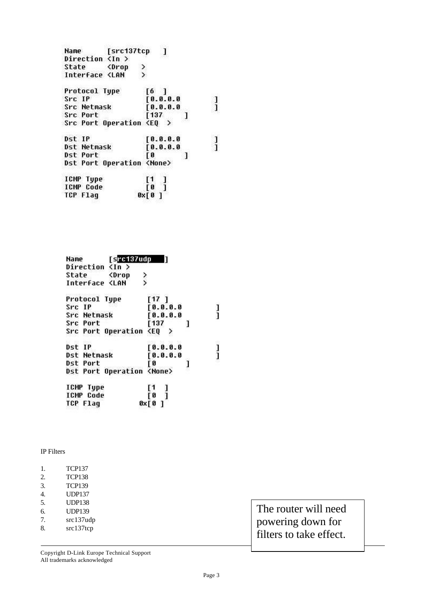| Name                                                              | [src137tcp] | 1                                                        |   |  |
|-------------------------------------------------------------------|-------------|----------------------------------------------------------|---|--|
| Direction <in></in>                                               |             |                                                          |   |  |
| State <drop< td=""><td></td><td></td><td></td><td></td></drop<>   |             |                                                          |   |  |
| Interface <lan< td=""><td></td><td></td><td></td><td></td></lan<> |             |                                                          |   |  |
| Protocol Type                                                     |             | $\begin{bmatrix} 6 & 1 \end{bmatrix}$                    |   |  |
| Src IP                                                            |             | [0.0.0.0]                                                |   |  |
| Src Netmask                                                       |             | [0.0.0.0]                                                |   |  |
| Src Port                                                          |             | 137                                                      |   |  |
| Src Port Operation $\langle \mathsf{EQ} \rangle$                  |             |                                                          |   |  |
| Dst IP                                                            |             | [0.0.0.0]                                                |   |  |
| Dst Netmask                                                       |             | [0.0.0.0]                                                |   |  |
| Dst Port                                                          |             | [0                                                       | 1 |  |
| Dst Port Operation <none></none>                                  |             |                                                          |   |  |
| ICMP Type                                                         |             |                                                          |   |  |
| <b>ICMP Code</b>                                                  |             | $\left[\begin{matrix} 1 & 1 \ 0 & 1 \end{matrix}\right]$ |   |  |
| TCP Flaq                                                          |             | $0 \times 0$ ]                                           |   |  |

| Name                                                             | $Src137$ udp                     |                  |   |
|------------------------------------------------------------------|----------------------------------|------------------|---|
| Direction <in></in>                                              |                                  |                  |   |
| State <drop< td=""><td></td><td></td><td></td></drop<>           |                                  |                  |   |
| Interface <lan< td=""><td>&gt;&gt;</td><td></td><td></td></lan<> | >>                               |                  |   |
| Protocol Type                                                    |                                  | [17]             |   |
| Src IP                                                           |                                  | 10.0.0.0         |   |
| Src Netmask                                                      |                                  | [0.0.0.0]        |   |
| <b>Src Port</b>                                                  |                                  | [137]            | 1 |
|                                                                  | Src Port Operation               | <e0<br>⋋</e0<br> |   |
| Dst IP                                                           |                                  | [0.0.0.0]        |   |
| Dst Netmask                                                      |                                  | [0.0.0.0]        |   |
| Dst Port                                                         |                                  | ſθ               | 1 |
|                                                                  | Dst Port Operation <none></none> |                  |   |
| ICMP Type                                                        |                                  |                  |   |
| <b>ICMP Code</b>                                                 |                                  | [1]<br>[0]       |   |
| TCP Flag                                                         |                                  | $0 \times [0]$   |   |

## IP Filters

| 1. | <b>TCP137</b> |
|----|---------------|
| 2. | <b>TCP138</b> |
| 3. | <b>TCP139</b> |
| 4  | <b>UDP137</b> |
| 5. | <b>UDP138</b> |
| б. | <b>UDP139</b> |
| 7. | $src137$ udp  |
| 8. | src137top     |

The router will need powering down for filters to take effect.

Copyright D-Link Europe Technical Support All trademarks acknowledged